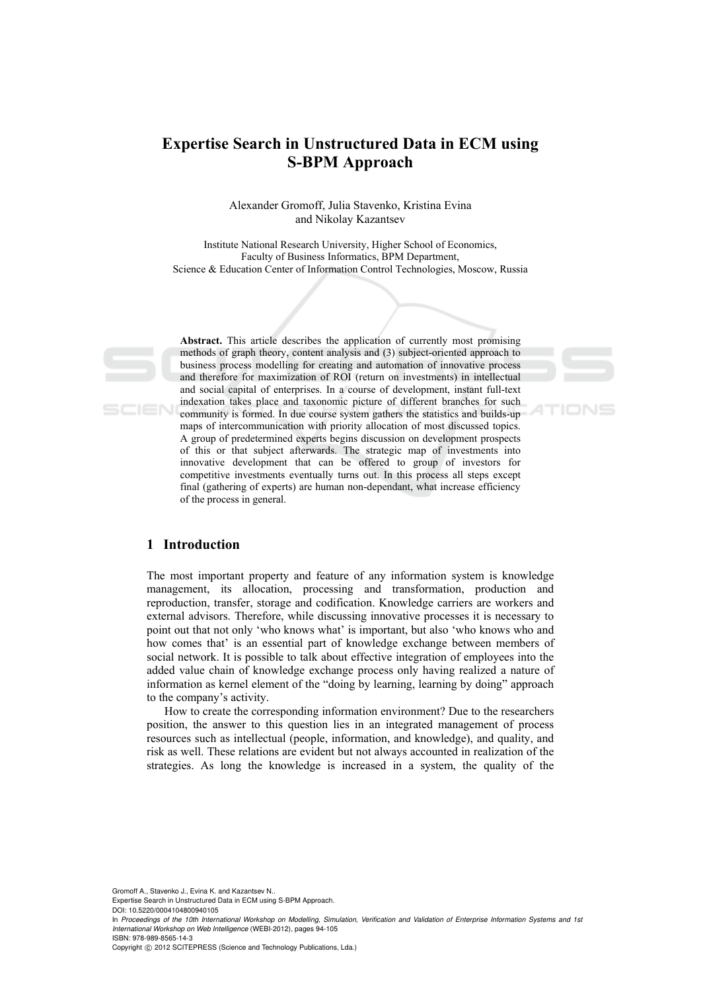# **Expertise Search in Unstructured Data in ECM using S-BPM Approach**

Alexander Gromoff, Julia Stavenko, Kristina Evina and Nikolay Kazantsev

Institute National Research University, Higher School of Economics, Faculty of Business Informatics, BPM Department, Science & Education Center of Information Control Technologies, Moscow, Russia

SCIEN

**Abstract.** This article describes the application of currently most promising methods of graph theory, content analysis and (3) subject-oriented approach to business process modelling for creating and automation of innovative process and therefore for maximization of ROI (return on investments) in intellectual and social capital of enterprises. In a course of development, instant full-text indexation takes place and taxonomic picture of different branches for such community is formed. In due course system gathers the statistics and builds-up maps of intercommunication with priority allocation of most discussed topics. A group of predetermined experts begins discussion on development prospects of this or that subject afterwards. The strategic map of investments into innovative development that can be offered to group of investors for competitive investments eventually turns out. In this process all steps except final (gathering of experts) are human non-dependant, what increase efficiency of the process in general.

# **1 Introduction**

The most important property and feature of any information system is knowledge management, its allocation, processing and transformation, production and reproduction, transfer, storage and codification. Knowledge carriers are workers and external advisors. Therefore, while discussing innovative processes it is necessary to point out that not only 'who knows what' is important, but also 'who knows who and how comes that' is an essential part of knowledge exchange between members of social network. It is possible to talk about effective integration of employees into the added value chain of knowledge exchange process only having realized a nature of information as kernel element of the "doing by learning, learning by doing" approach to the company's activity.

How to create the corresponding information environment? Due to the researchers position, the answer to this question lies in an integrated management of process resources such as intellectual (people, information, and knowledge), and quality, and risk as well. These relations are evident but not always accounted in realization of the strategies. As long the knowledge is increased in a system, the quality of the

Gromoff A., Stavenko J., Evina K. and Kazantsev N..

Expertise Search in Unstructured Data in ECM using S-BPM Approach. DOI: 10.5220/0004104800940105

ISBN: 978-989-8565-14-3

Copyright © 2012 SCITEPRESS (Science and Technology Publications, Lda.)

In *Proceedings of the 10th International Workshop on Modelling, Simulation, Verification and Validation of Enterprise Information Systems and 1st International Workshop on Web Intelligence* (WEBI-2012), pages 94-105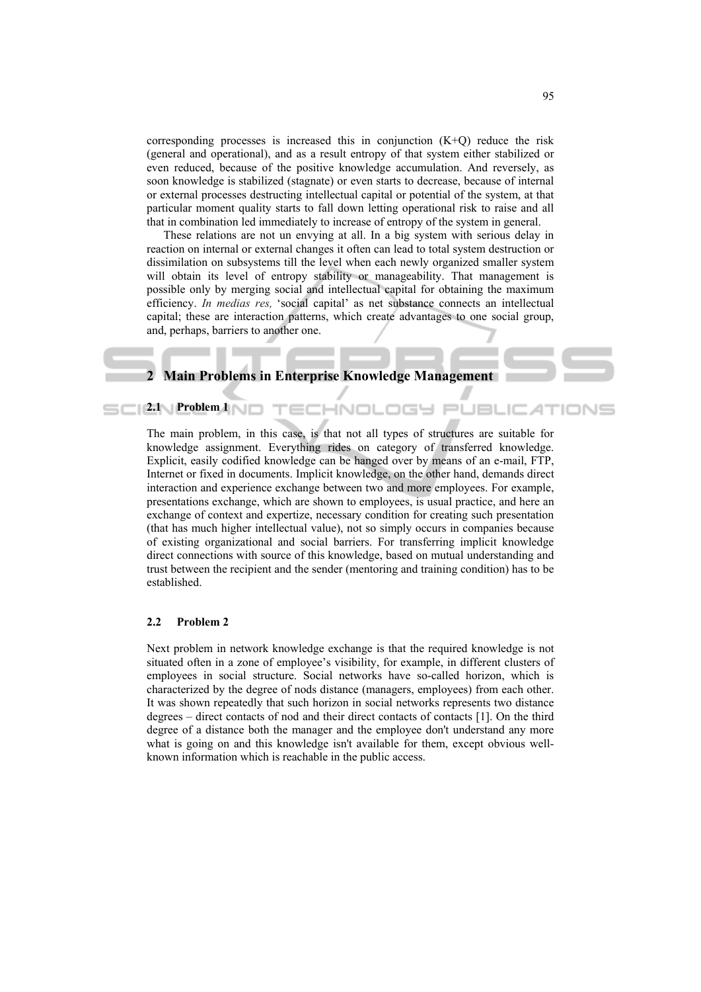corresponding processes is increased this in conjunction  $(K+Q)$  reduce the risk (general and operational), and as a result entropy of that system either stabilized or even reduced, because of the positive knowledge accumulation. And reversely, as soon knowledge is stabilized (stagnate) or even starts to decrease, because of internal or external processes destructing intellectual capital or potential of the system, at that particular moment quality starts to fall down letting operational risk to raise and all that in combination led immediately to increase of entropy of the system in general.

These relations are not un envying at all. In a big system with serious delay in reaction on internal or external changes it often can lead to total system destruction or dissimilation on subsystems till the level when each newly organized smaller system will obtain its level of entropy stability or manageability. That management is possible only by merging social and intellectual capital for obtaining the maximum efficiency. *In medias res,* 'social capital' as net substance connects an intellectual capital; these are interaction patterns, which create advantages to one social group, and, perhaps, barriers to another one.

# **2 Main Problems in Enterprise Knowledge Management**

The main problem, in this case, is that not all types of structures are suitable for knowledge assignment. Everything rides on category of transferred knowledge. Explicit, easily codified knowledge can be hanged over by means of an e-mail, FTP, Internet or fixed in documents. Implicit knowledge, on the other hand, demands direct interaction and experience exchange between two and more employees. For example, presentations exchange, which are shown to employees, is usual practice, and here an exchange of context and expertize, necessary condition for creating such presentation (that has much higher intellectual value), not so simply occurs in companies because of existing organizational and social barriers. For transferring implicit knowledge direct connections with source of this knowledge, based on mutual understanding and trust between the recipient and the sender (mentoring and training condition) has to be established.

### **2.2 Problem 2**

**2.1 Problem 1** 

Next problem in network knowledge exchange is that the required knowledge is not situated often in a zone of employee's visibility, for example, in different clusters of employees in social structure. Social networks have so-called horizon, which is characterized by the degree of nods distance (managers, employees) from each other. It was shown repeatedly that such horizon in social networks represents two distance degrees – direct contacts of nod and their direct contacts of contacts [1]. On the third degree of a distance both the manager and the employee don't understand any more what is going on and this knowledge isn't available for them, except obvious wellknown information which is reachable in the public access.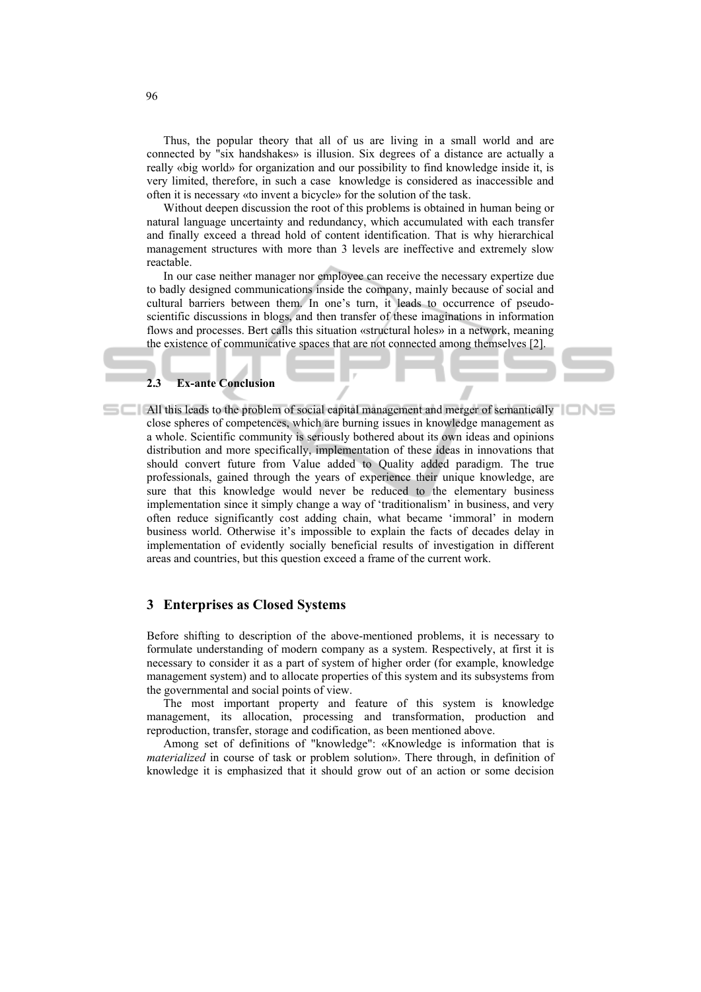Thus, the popular theory that all of us are living in a small world and are connected by "six handshakes» is illusion. Six degrees of a distance are actually a really «big world» for organization and our possibility to find knowledge inside it, is very limited, therefore, in such a case knowledge is considered as inaccessible and often it is necessary «to invent a bicycle» for the solution of the task.

Without deepen discussion the root of this problems is obtained in human being or natural language uncertainty and redundancy, which accumulated with each transfer and finally exceed a thread hold of content identification. That is why hierarchical management structures with more than 3 levels are ineffective and extremely slow reactable.

In our case neither manager nor employee can receive the necessary expertize due to badly designed communications inside the company, mainly because of social and cultural barriers between them. In one's turn, it leads to occurrence of pseudoscientific discussions in blogs, and then transfer of these imaginations in information flows and processes. Bert calls this situation «structural holes» in a network, meaning the existence of communicative spaces that are not connected among themselves [2].

# **2.3 Ex-ante Conclusion**

**All this leads to the problem of social capital management and merger of semantically** close spheres of competences, which are burning issues in knowledge management as a whole. Scientific community is seriously bothered about its own ideas and opinions distribution and more specifically, implementation of these ideas in innovations that should convert future from Value added to Quality added paradigm. The true professionals, gained through the years of experience their unique knowledge, are sure that this knowledge would never be reduced to the elementary business implementation since it simply change a way of 'traditionalism' in business, and very often reduce significantly cost adding chain, what became 'immoral' in modern business world. Otherwise it's impossible to explain the facts of decades delay in implementation of evidently socially beneficial results of investigation in different areas and countries, but this question exceed a frame of the current work.

# **3 Enterprises as Closed Systems**

Before shifting to description of the above-mentioned problems, it is necessary to formulate understanding of modern company as a system. Respectively, at first it is necessary to consider it as a part of system of higher order (for example, knowledge management system) and to allocate properties of this system and its subsystems from the governmental and social points of view.

The most important property and feature of this system is knowledge management, its allocation, processing and transformation, production and reproduction, transfer, storage and codification, as been mentioned above.

Among set of definitions of "knowledge": «Knowledge is information that is *materialized* in course of task or problem solution». There through, in definition of knowledge it is emphasized that it should grow out of an action or some decision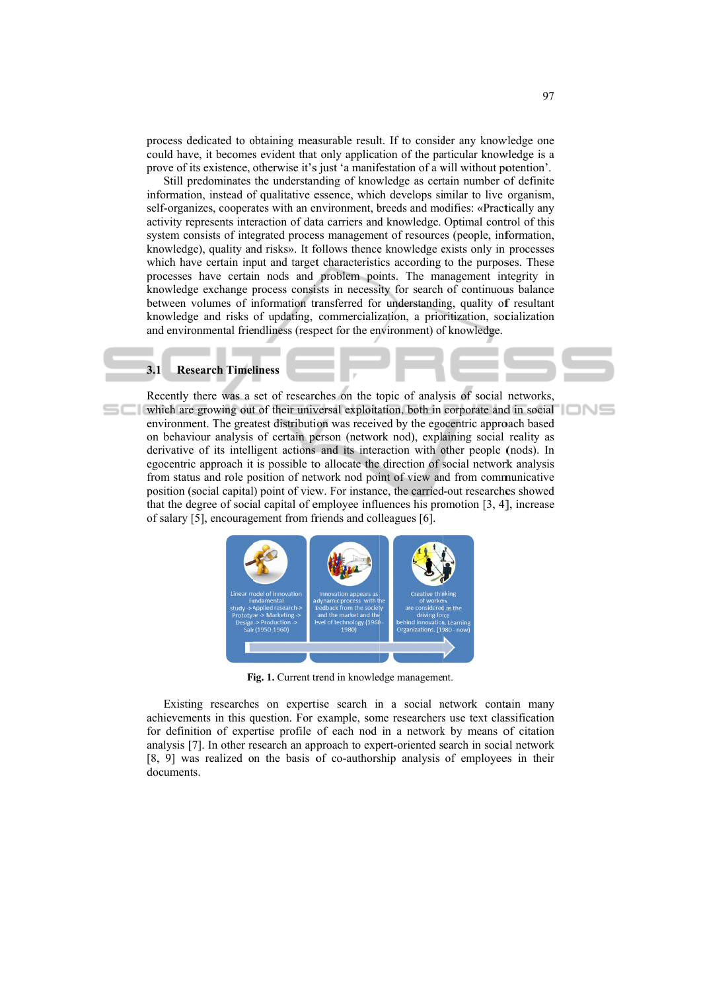process dedicated to obtaining measurable result. If to consider any knowledge one could have, it becomes evident that only application of the particular knowledge is a prove of its existence, otherwise it's just 'a manifestation of a will without potention'.

Still predominates the understanding of knowledge as certain number of definite information, instead of qualitative essence, which develops similar to live organism, self-organizes, cooperates with an environment, breeds and modifies: «Practically any activity represents interaction of data carriers and knowledge. Optimal control of this system consists of integrated process management of resources (people, information, knowledge), quality and risks». It follows thence knowledge exists only in processes which have certain input and target characteristics according to the purposes. These processes have certain nods and problem points. The management integrity in knowledge exchange process consists in necessity for search of continuous balance between volumes of information transferred for understanding, quality of resultant knowledge and risks of updating, commercialization, a prioritization, socialization and environmental friendliness (respect for the environment) of knowledge.

#### $3.1$ **Research Timeliness**

Recently there was a set of researches on the topic of analysis of social networks. which are growing out of their universal exploitation, both in corporate and in social environment. The greatest distribution was received by the egocentric approach based on behaviour analysis of certain person (network nod), explaining social reality as derivative of its intelligent actions and its interaction with other people (nods). In egocentric approach it is possible to allocate the direction of social network analysis from status and role position of network nod point of view and from communicative position (social capital) point of view. For instance, the carried-out researches showed that the degree of social capital of employee influences his promotion [3, 4], increase of salary [5], encouragement from friends and colleagues [6].



Fig. 1. Current trend in knowledge management.

Existing researches on expertise search in a social network contain many achievements in this question. For example, some researchers use text classification for definition of expertise profile of each nod in a network by means of citation analysis [7]. In other research an approach to expert-oriented search in social network [8, 9] was realized on the basis of co-authorship analysis of employees in their documents

IONS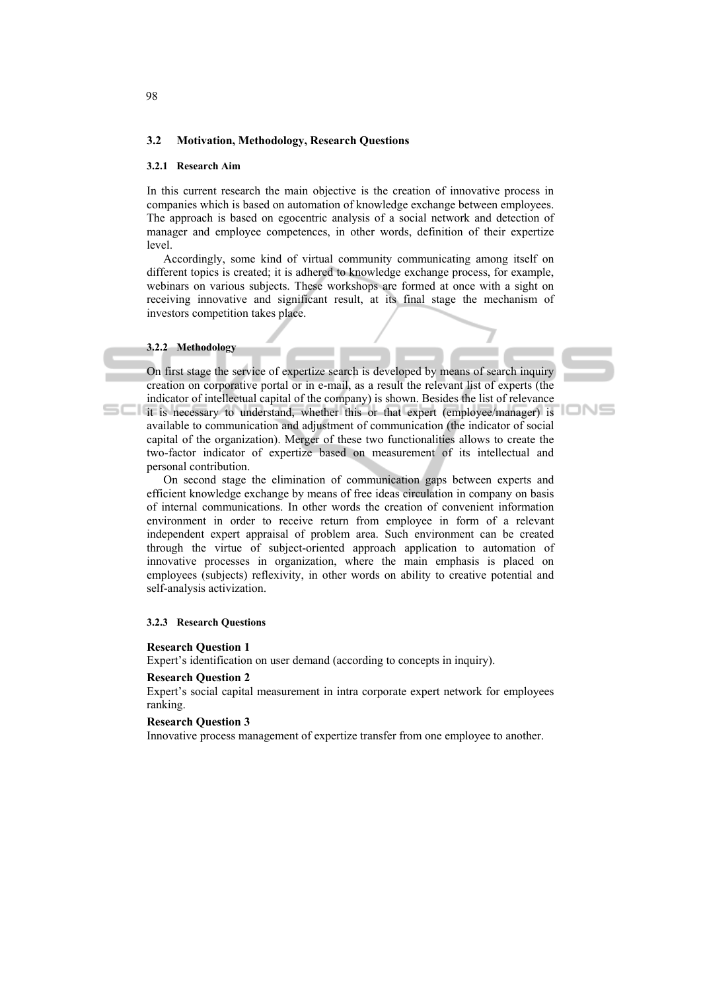# **3.2 Motivation, Methodology, Research Questions**

### **3.2.1 Research Aim**

In this current research the main objective is the creation of innovative process in companies which is based on automation of knowledge exchange between employees. The approach is based on egocentric analysis of a social network and detection of manager and employee competences, in other words, definition of their expertize level.

Accordingly, some kind of virtual community communicating among itself on different topics is created; it is adhered to knowledge exchange process, for example, webinars on various subjects. These workshops are formed at once with a sight on receiving innovative and significant result, at its final stage the mechanism of investors competition takes place.

#### **3.2.2 Methodology**

On first stage the service of expertize search is developed by means of search inquiry creation on corporative portal or in e-mail, as a result the relevant list of experts (the indicator of intellectual capital of the company) is shown. Besides the list of relevance it is necessary to understand, whether this or that expert (employee/manager) is available to communication and adjustment of communication (the indicator of social capital of the organization). Merger of these two functionalities allows to create the two-factor indicator of expertize based on measurement of its intellectual and personal contribution.

On second stage the elimination of communication gaps between experts and efficient knowledge exchange by means of free ideas circulation in company on basis of internal communications. In other words the creation of convenient information environment in order to receive return from employee in form of a relevant independent expert appraisal of problem area. Such environment can be created through the virtue of subject-oriented approach application to automation of innovative processes in organization, where the main emphasis is placed on employees (subjects) reflexivity, in other words on ability to creative potential and self-analysis activization.

## **3.2.3 Research Questions**

#### **Research Question 1**

Expert's identification on user demand (according to concepts in inquiry).

## **Research Question 2**

Expert's social capital measurement in intra corporate expert network for employees ranking.

#### **Research Question 3**

Innovative process management of expertize transfer from one employee to another.

98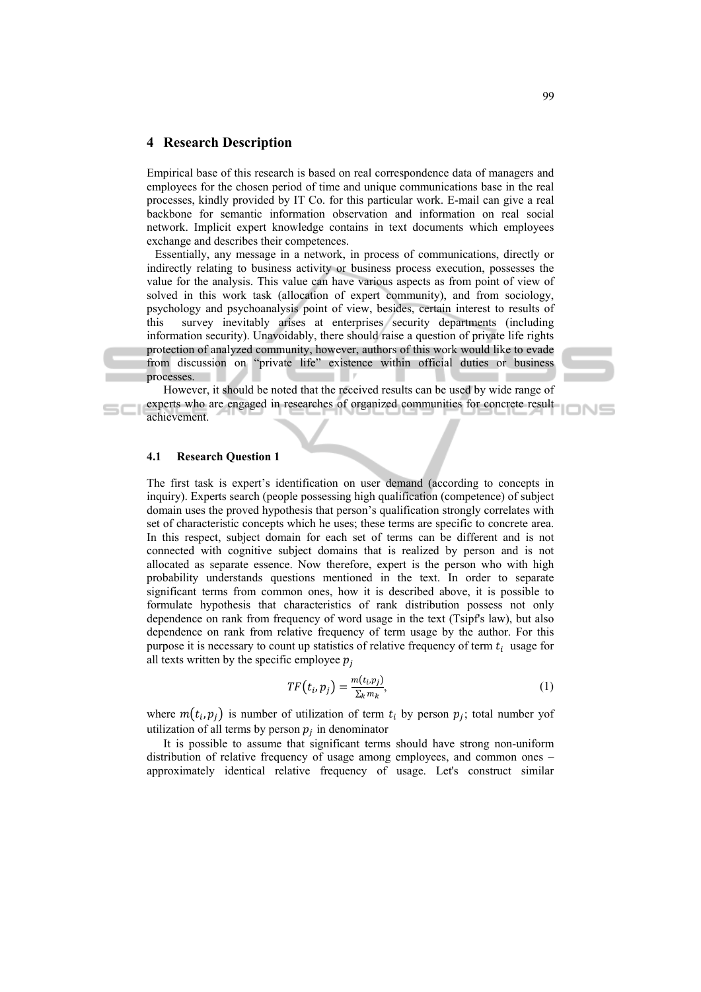# **4 Research Description**

Empirical base of this research is based on real correspondence data of managers and employees for the chosen period of time and unique communications base in the real processes, kindly provided by IT Co. for this particular work. E-mail can give a real backbone for semantic information observation and information on real social network. Implicit expert knowledge contains in text documents which employees exchange and describes their competences.

Essentially, any message in a network, in process of communications, directly or indirectly relating to business activity or business process execution, possesses the value for the analysis. This value can have various aspects as from point of view of solved in this work task (allocation of expert community), and from sociology, psychology and psychoanalysis point of view, besides, certain interest to results of this survey inevitably arises at enterprises security departments (including information security). Unavoidably, there should raise a question of private life rights protection of analyzed community, however, authors of this work would like to evade from discussion on "private life" existence within official duties or business processes.

However, it should be noted that the received results can be used by wide range of experts who are engaged in researches of organized communities for concrete result achievement.

# **4.1 Research Question 1**

The first task is expert's identification on user demand (according to concepts in inquiry). Experts search (people possessing high qualification (competence) of subject domain uses the proved hypothesis that person's qualification strongly correlates with set of characteristic concepts which he uses; these terms are specific to concrete area. In this respect, subject domain for each set of terms can be different and is not connected with cognitive subject domains that is realized by person and is not allocated as separate essence. Now therefore, expert is the person who with high probability understands questions mentioned in the text. In order to separate significant terms from common ones, how it is described above, it is possible to formulate hypothesis that characteristics of rank distribution possess not only dependence on rank from frequency of word usage in the text (Tsipf's law), but also dependence on rank from relative frequency of term usage by the author. For this purpose it is necessary to count up statistics of relative frequency of term  $t_i$  usage for all texts written by the specific employee  $p_i$ 

$$
TF(t_i, p_j) = \frac{m(t_i, p_j)}{\sum_k m_k},\tag{1}
$$

where  $m(t_i, p_i)$  is number of utilization of term  $t_i$  by person  $p_i$ ; total number yof utilization of all terms by person  $p_i$  in denominator

It is possible to assume that significant terms should have strong non-uniform distribution of relative frequency of usage among employees, and common ones – approximately identical relative frequency of usage. Let's construct similar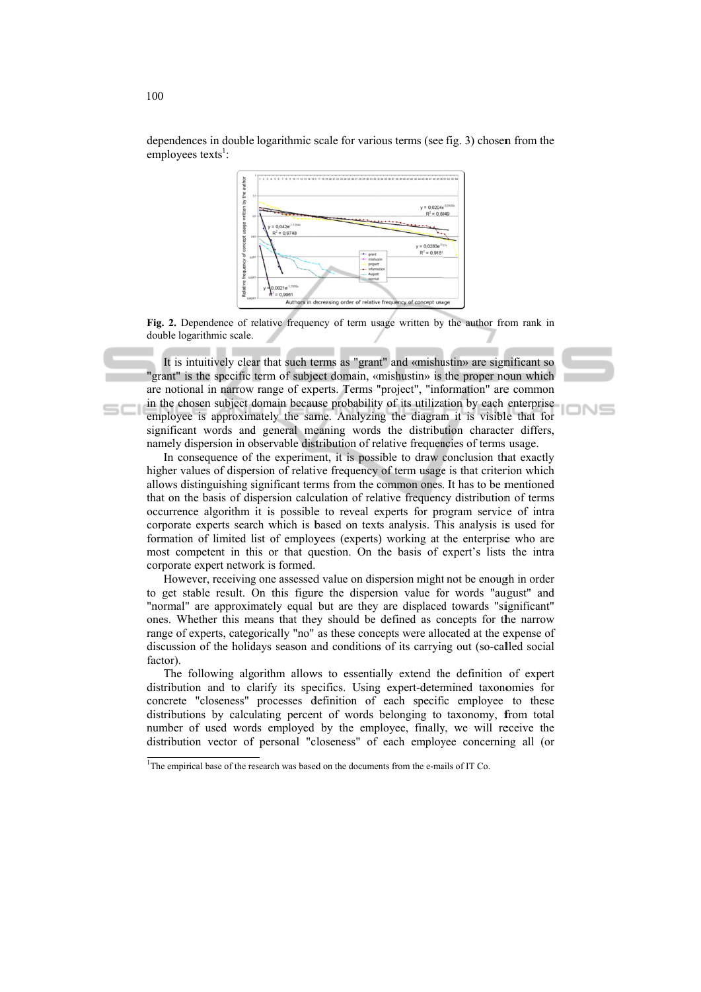

dependences in double logarithmic scale for various terms (see fig. 3) chosen from the employees texts<sup>1</sup>:

Fig. 2. Dependence of relative frequency of term usage written by the author from rank in double logarithmic scale.

It is intuitively clear that such terms as "grant" and «mishustin» are significant so "grant" is the specific term of subject domain, «mishustin» is the proper noun which are notional in narrow range of experts. Terms "project", "information" are common in the chosen subject domain because probability of its utilization by each enterprise employee is approximately the same. Analyzing the diagram it is visible that for significant words and general meaning words the distribution character differs, namely dispersion in observable distribution of relative frequencies of terms usage.

∍ו∧ר

In consequence of the experiment, it is possible to draw conclusion that exactly higher values of dispersion of relative frequency of term usage is that criterion which allows distinguishing significant terms from the common ones. It has to be mentioned that on the basis of dispersion calculation of relative frequency distribution of terms occurrence algorithm it is possible to reveal experts for program service of intra corporate experts search which is based on texts analysis. This analysis is used for formation of limited list of employees (experts) working at the enterprise who are most competent in this or that question. On the basis of expert's lists the intra corporate expert network is formed.

However, receiving one assessed value on dispersion might not be enough in order to get stable result. On this figure the dispersion value for words "august" and "normal" are approximately equal but are they are displaced towards "significant" ones. Whether this means that they should be defined as concepts for the narrow range of experts, categorically "no" as these concepts were allocated at the expense of discussion of the holidays season and conditions of its carrying out (so-called social factor).

The following algorithm allows to essentially extend the definition of expert distribution and to clarify its specifics. Using expert-determined taxonomies for concrete "closeness" processes definition of each specific employee to these distributions by calculating percent of words belonging to taxonomy, from total number of used words employed by the employee, finally, we will receive the distribution vector of personal "closeness" of each employee concerning all (or

 $1$ The empirical base of the research was based on the documents from the e-mails of IT Co.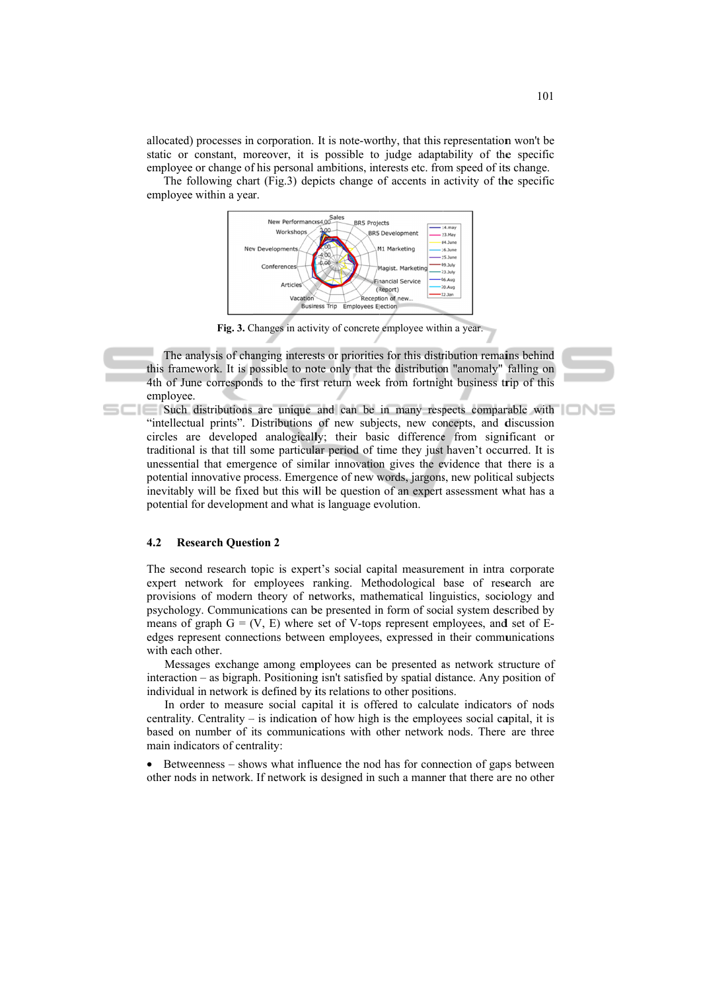allocated) processes in corporation. It is note-worthy, that this representation won't be static or constant, moreover, it is possible to judge adaptability of the specific employee or change of his personal ambitions, interests etc. from speed of its change.

The following chart (Fig.3) depicts change of accents in activity of the specific employee within a year.



Fig. 3. Changes in activity of concrete employee within a year.

The analysis of changing interests or priorities for this distribution remains behind this framework. It is possible to note only that the distribution "anomaly" falling on 4th of June corresponds to the first return week from fortnight business trip of this employee.

Such distributions are unique and can be in many respects comparable with "intellectual prints". Distributions of new subjects, new concepts, and discussion circles are developed analogically; their basic difference from significant or traditional is that till some particular period of time they just haven't occurred. It is unessential that emergence of similar innovation gives the evidence that there is a potential innovative process. Emergence of new words, jargons, new political subjects inevitably will be fixed but this will be question of an expert assessment what has a potential for development and what is language evolution.

#### $4.2$ **Research Question 2**

The second research topic is expert's social capital measurement in intra corporate expert network for employees ranking. Methodological base of research are provisions of modern theory of networks, mathematical linguistics, sociology and psychology. Communications can be presented in form of social system described by means of graph  $G = (V, E)$  where set of V-tops represent employees, and set of Eedges represent connections between employees, expressed in their communications with each other.

Messages exchange among employees can be presented as network structure of interaction – as bigraph. Positioning isn't satisfied by spatial distance. Any position of individual in network is defined by its relations to other positions.

In order to measure social capital it is offered to calculate indicators of nods centrality. Centrality – is indication of how high is the employees social capital, it is based on number of its communications with other network nods. There are three main indicators of centrality:

• Betweenness – shows what influence the nod has for connection of gaps between other nods in network. If network is designed in such a manner that there are no other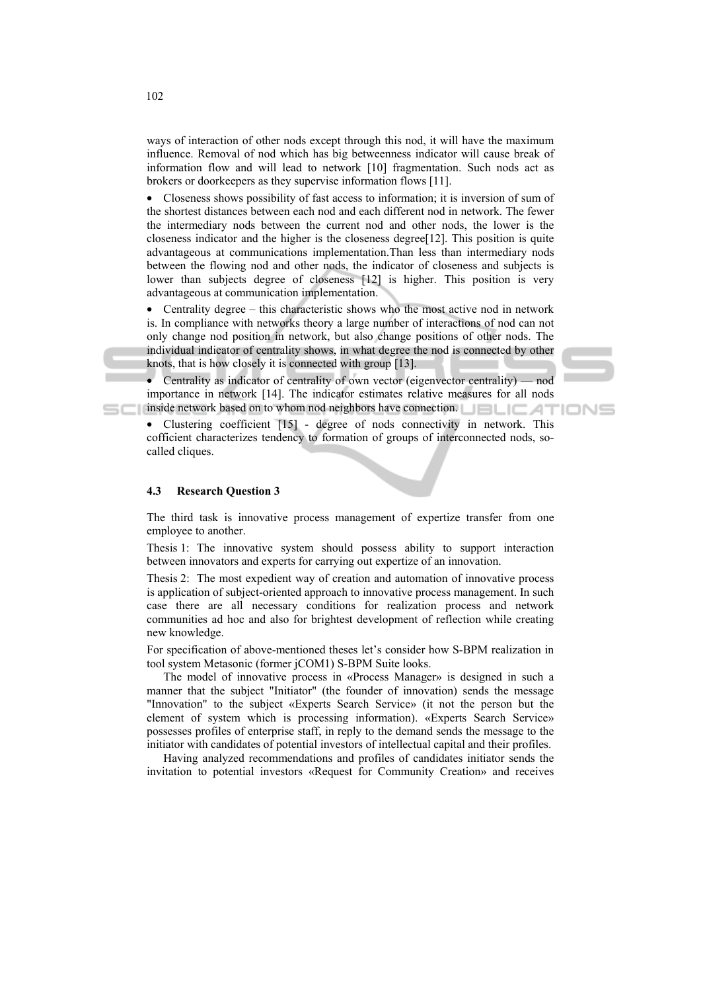ways of interaction of other nods except through this nod, it will have the maximum influence. Removal of nod which has big betweenness indicator will cause break of information flow and will lead to network [10] fragmentation. Such nods act as brokers or doorkeepers as they supervise information flows [11].

• Closeness shows possibility of fast access to information; it is inversion of sum of the shortest distances between each nod and each different nod in network. The fewer the intermediary nods between the current nod and other nods, the lower is the closeness indicator and the higher is the closeness degree[12]. This position is quite advantageous at communications implementation.Than less than intermediary nods between the flowing nod and other nods, the indicator of closeness and subjects is lower than subjects degree of closeness [12] is higher. This position is very advantageous at communication implementation.

• Centrality degree – this characteristic shows who the most active nod in network is. In compliance with networks theory a large number of interactions of nod can not only change nod position in network, but also change positions of other nods. The individual indicator of centrality shows, in what degree the nod is connected by other knots, that is how closely it is connected with group [13].

• Centrality as indicator of centrality of own vector (eigenvector centrality) — nod importance in network [14]. The indicator estimates relative measures for all nods inside network based on to whom nod neighbors have connection.

• Clustering coefficient [15] - degree of nods connectivity in network. This cofficient characterizes tendency to formation of groups of interconnected nods, socalled cliques.

### **4.3 Research Question 3**

The third task is innovative process management of expertize transfer from one employee to another.

Thesis 1: The innovative system should possess ability to support interaction between innovators and experts for carrying out expertize of an innovation.

Thesis 2: The most expedient way of creation and automation of innovative process is application of subject-oriented approach to innovative process management. In such case there are all necessary conditions for realization process and network communities ad hoc and also for brightest development of reflection while creating new knowledge.

For specification of above-mentioned theses let's consider how S-BPM realization in tool system Metasonic (former jCOM1) S-BPM Suite looks.

The model of innovative process in «Process Manager» is designed in such a manner that the subject "Initiator" (the founder of innovation) sends the message "Innovation" to the subject «Experts Search Service» (it not the person but the element of system which is processing information). «Experts Search Service» possesses profiles of enterprise staff, in reply to the demand sends the message to the initiator with candidates of potential investors of intellectual capital and their profiles.

Having analyzed recommendations and profiles of candidates initiator sends the invitation to potential investors «Request for Community Creation» and receives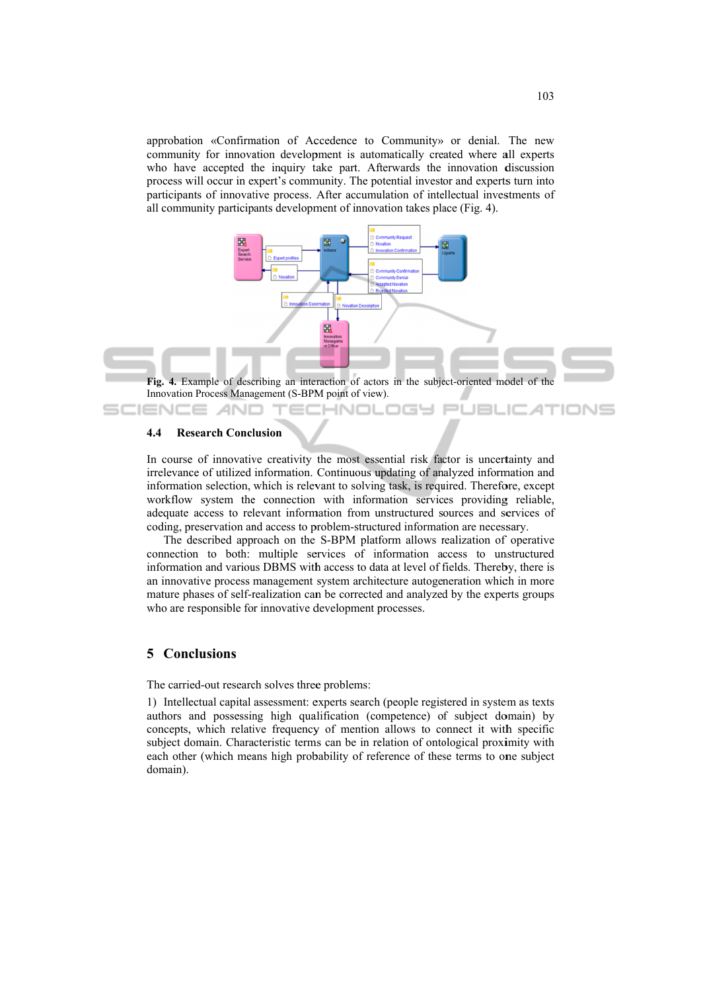approbation «Confirmation of Accedence to Community» or denial. The new community for innovation development is automatically created where all experts who have accepted the inquiry take part. Afterwards the innovation discussion process will occur in expert's community. The potential investor and experts turn into participants of innovative process. After accumulation of intellectual investments of all community participants development of innovation takes place (Fig. 4).



Innovation Process Management (S-BPM point of view).

'ECHNOLOGY

#### 4.4 **Research Conclusion**

ANO

In course of innovative creativity the most essential risk factor is uncertainty and irrelevance of utilized information. Continuous updating of analyzed information and information selection, which is relevant to solving task, is required. Therefore, except workflow system the connection with information services providing reliable, adequate access to relevant information from unstructured sources and services of coding, preservation and access to problem-structured information are necessary.

The described approach on the S-BPM platform allows realization of operative connection to both: multiple services of information access to unstructured information and various DBMS with access to data at level of fields. Thereby, there is an innovative process management system architecture autogeneration which in more mature phases of self-realization can be corrected and analyzed by the experts groups who are responsible for innovative development processes.

# **5** Conclusions

The carried-out research solves three problems:

1) Intellectual capital assessment: experts search (people registered in system as texts authors and possessing high qualification (competence) of subject domain) by concepts, which relative frequency of mention allows to connect it with specific subject domain. Characteristic terms can be in relation of ontological proximity with each other (which means high probability of reference of these terms to one subject domain).

**JBLIC ATIONS**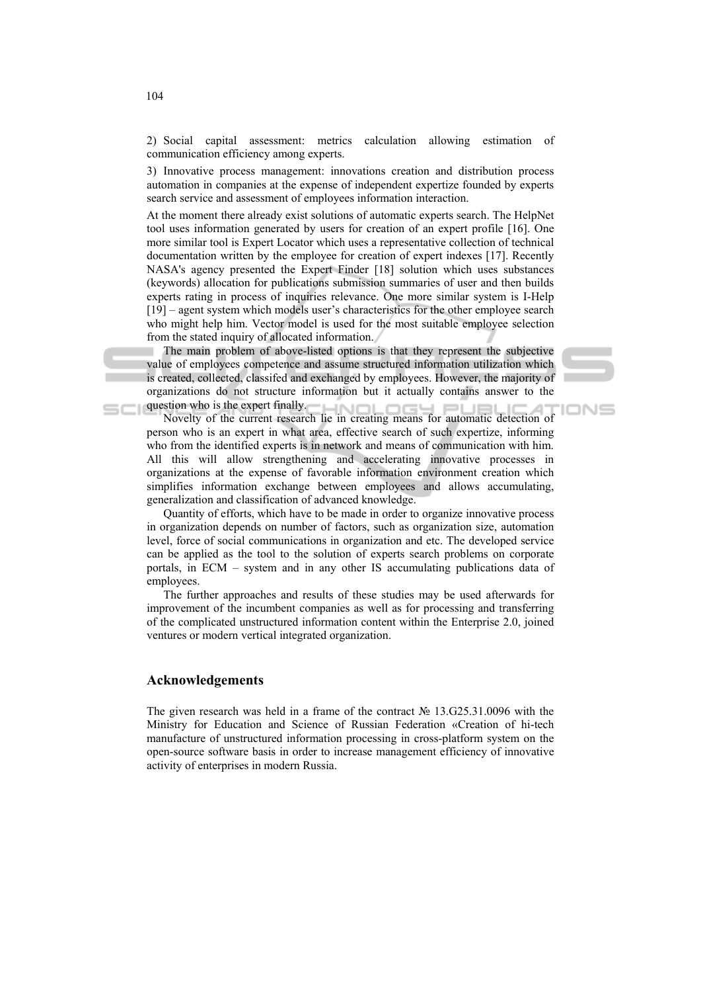2) Social capital assessment: metrics calculation allowing estimation of communication efficiency among experts.

3) Innovative process management: innovations creation and distribution process automation in companies at the expense of independent expertize founded by experts search service and assessment of employees information interaction.

At the moment there already exist solutions of automatic experts search. The HelpNet tool uses information generated by users for creation of an expert profile [16]. One more similar tool is Expert Locator which uses a representative collection of technical documentation written by the employee for creation of expert indexes [17]. Recently NASA's agency presented the Expert Finder [18] solution which uses substances (keywords) allocation for publications submission summaries of user and then builds experts rating in process of inquiries relevance. One more similar system is I-Help [19] – agent system which models user's characteristics for the other employee search who might help him. Vector model is used for the most suitable employee selection from the stated inquiry of allocated information.

The main problem of above-listed options is that they represent the subjective value of employees competence and assume structured information utilization which is created, collected, classifed and exchanged by employees. However, the majority of organizations do not structure information but it actually contains answer to the question who is the expert finally.

**IONS** 

novelty of the expert finally.<br>Novelty of the current research lie in creating means for automatic detection of person who is an expert in what area, effective search of such expertize, informing who from the identified experts is in network and means of communication with him. All this will allow strengthening and accelerating innovative processes in organizations at the expense of favorable information environment creation which simplifies information exchange between employees and allows accumulating, generalization and classification of advanced knowledge.

Quantity of efforts, which have to be made in order to organize innovative process in organization depends on number of factors, such as organization size, automation level, force of social communications in organization and etc. The developed service can be applied as the tool to the solution of experts search problems on corporate portals, in ECM – system and in any other IS accumulating publications data of employees.

The further approaches and results of these studies may be used afterwards for improvement of the incumbent companies as well as for processing and transferring of the complicated unstructured information content within the Enterprise 2.0, joined ventures or modern vertical integrated organization.

# **Acknowledgements**

The given research was held in a frame of the contract № 13.G25.31.0096 with the Ministry for Education and Science of Russian Federation «Creation of hi-tech manufacture of unstructured information processing in cross-platform system on the open-source software basis in order to increase management efficiency of innovative activity of enterprises in modern Russia.